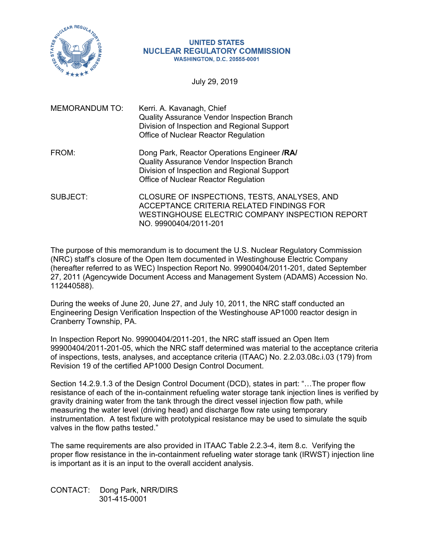

#### **UNITED STATES NUCLEAR REGULATORY COMMISSION WASHINGTON, D.C. 20555-0001**

July 29, 2019

| <b>MEMORANDUM TO:</b> | Kerri. A. Kavanagh, Chief<br><b>Quality Assurance Vendor Inspection Branch</b><br>Division of Inspection and Regional Support<br>Office of Nuclear Reactor Regulation                   |
|-----------------------|-----------------------------------------------------------------------------------------------------------------------------------------------------------------------------------------|
| FROM:                 | Dong Park, Reactor Operations Engineer /RA/<br><b>Quality Assurance Vendor Inspection Branch</b><br>Division of Inspection and Regional Support<br>Office of Nuclear Reactor Regulation |
| SUBJECT:              | CLOSURE OF INSPECTIONS, TESTS, ANALYSES, AND<br>ACCEPTANCE CRITERIA RELATED FINDINGS FOR<br>WESTINGHOUSE ELECTRIC COMPANY INSPECTION REPORT                                             |

The purpose of this memorandum is to document the U.S. Nuclear Regulatory Commission (NRC) staff's closure of the Open Item documented in Westinghouse Electric Company (hereafter referred to as WEC) Inspection Report No. 99900404/2011-201, dated September 27, 2011 (Agencywide Document Access and Management System (ADAMS) Accession No. 112440588).

NO. 99900404/2011-201

During the weeks of June 20, June 27, and July 10, 2011, the NRC staff conducted an Engineering Design Verification Inspection of the Westinghouse AP1000 reactor design in Cranberry Township, PA.

In Inspection Report No. 99900404/2011-201, the NRC staff issued an Open Item 99900404/2011-201-05, which the NRC staff determined was material to the acceptance criteria of inspections, tests, analyses, and acceptance criteria (ITAAC) No. 2.2.03.08c.i.03 (179) from Revision 19 of the certified AP1000 Design Control Document.

Section 14.2.9.1.3 of the Design Control Document (DCD), states in part: "…The proper flow resistance of each of the in-containment refueling water storage tank injection lines is verified by gravity draining water from the tank through the direct vessel injection flow path, while measuring the water level (driving head) and discharge flow rate using temporary instrumentation. A test fixture with prototypical resistance may be used to simulate the squib valves in the flow paths tested."

The same requirements are also provided in ITAAC Table 2.2.3-4, item 8.c. Verifying the proper flow resistance in the in-containment refueling water storage tank (IRWST) injection line is important as it is an input to the overall accident analysis.

CONTACT: Dong Park, NRR/DIRS 301-415-0001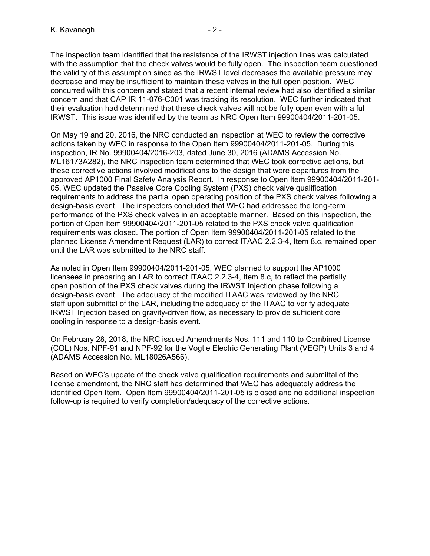The inspection team identified that the resistance of the IRWST injection lines was calculated with the assumption that the check valves would be fully open. The inspection team questioned the validity of this assumption since as the IRWST level decreases the available pressure may decrease and may be insufficient to maintain these valves in the full open position. WEC concurred with this concern and stated that a recent internal review had also identified a similar concern and that CAP IR 11-076-C001 was tracking its resolution. WEC further indicated that their evaluation had determined that these check valves will not be fully open even with a full IRWST. This issue was identified by the team as NRC Open Item 99900404/2011-201-05.

On May 19 and 20, 2016, the NRC conducted an inspection at WEC to review the corrective actions taken by WEC in response to the Open Item 99900404/2011-201-05. During this inspection, IR No. 99900404/2016-203, dated June 30, 2016 (ADAMS Accession No. ML16173A282), the NRC inspection team determined that WEC took corrective actions, but these corrective actions involved modifications to the design that were departures from the approved AP1000 Final Safety Analysis Report. In response to Open Item 99900404/2011-201- 05, WEC updated the Passive Core Cooling System (PXS) check valve qualification requirements to address the partial open operating position of the PXS check valves following a design-basis event. The inspectors concluded that WEC had addressed the long-term performance of the PXS check valves in an acceptable manner. Based on this inspection, the portion of Open Item 99900404/2011-201-05 related to the PXS check valve qualification requirements was closed. The portion of Open Item 99900404/2011-201-05 related to the planned License Amendment Request (LAR) to correct ITAAC 2.2.3-4, Item 8.c, remained open until the LAR was submitted to the NRC staff.

As noted in Open Item 99900404/2011-201-05, WEC planned to support the AP1000 licensees in preparing an LAR to correct ITAAC 2.2.3-4, Item 8.c, to reflect the partially open position of the PXS check valves during the IRWST Injection phase following a design-basis event. The adequacy of the modified ITAAC was reviewed by the NRC staff upon submittal of the LAR, including the adequacy of the ITAAC to verify adequate IRWST Injection based on gravity-driven flow, as necessary to provide sufficient core cooling in response to a design-basis event.

On February 28, 2018, the NRC issued Amendments Nos. 111 and 110 to Combined License (COL) Nos. NPF-91 and NPF-92 for the Vogtle Electric Generating Plant (VEGP) Units 3 and 4 (ADAMS Accession No. ML18026A566).

Based on WEC's update of the check valve qualification requirements and submittal of the license amendment, the NRC staff has determined that WEC has adequately address the identified Open Item. Open Item 99900404/2011-201-05 is closed and no additional inspection follow-up is required to verify completion/adequacy of the corrective actions.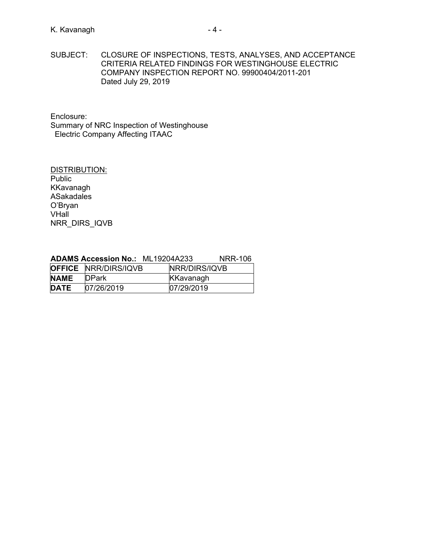SUBJECT: CLOSURE OF INSPECTIONS, TESTS, ANALYSES, AND ACCEPTANCE CRITERIA RELATED FINDINGS FOR WESTINGHOUSE ELECTRIC COMPANY INSPECTION REPORT NO. 99900404/2011-201 Dated July 29, 2019

Enclosure:

Summary of NRC Inspection of Westinghouse Electric Company Affecting ITAAC

DISTRIBUTION: Public KKavanagh ASakadales O'Bryan VHall NRR\_DIRS\_IQVB

|             | <b>OFFICE NRR/DIRS/IQVB</b> | NRR/DIRS/IQVB |  |
|-------------|-----------------------------|---------------|--|
| <b>NAME</b> | <b>DPark</b>                | KKavanagh     |  |
| <b>DATE</b> | 07/26/2019                  | 07/29/2019    |  |

## **ADAMS Accession No.:** ML19204A233 NRR-106